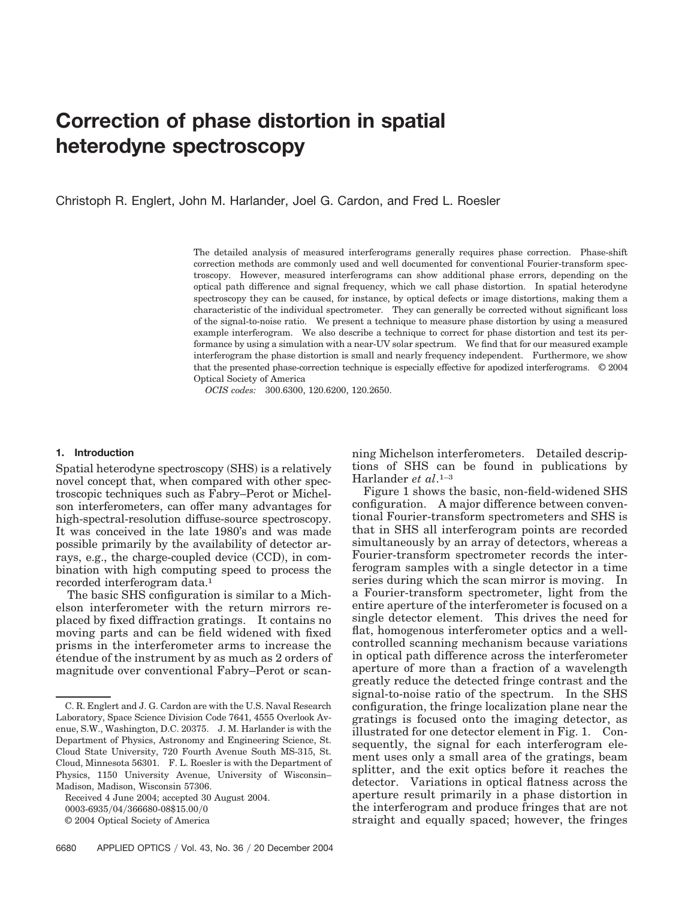# **Correction of phase distortion in spatial heterodyne spectroscopy**

Christoph R. Englert, John M. Harlander, Joel G. Cardon, and Fred L. Roesler

The detailed analysis of measured interferograms generally requires phase correction. Phase-shift correction methods are commonly used and well documented for conventional Fourier-transform spectroscopy. However, measured interferograms can show additional phase errors, depending on the optical path difference and signal frequency, which we call phase distortion. In spatial heterodyne spectroscopy they can be caused, for instance, by optical defects or image distortions, making them a characteristic of the individual spectrometer. They can generally be corrected without significant loss of the signal-to-noise ratio. We present a technique to measure phase distortion by using a measured example interferogram. We also describe a technique to correct for phase distortion and test its performance by using a simulation with a near-UV solar spectrum. We find that for our measured example interferogram the phase distortion is small and nearly frequency independent. Furthermore, we show that the presented phase-correction technique is especially effective for apodized interferograms. © 2004 Optical Society of America

*OCIS codes:* 300.6300, 120.6200, 120.2650.

### **1. Introduction**

Spatial heterodyne spectroscopy (SHS) is a relatively novel concept that, when compared with other spectroscopic techniques such as Fabry–Perot or Michelson interferometers, can offer many advantages for high-spectral-resolution diffuse-source spectroscopy. It was conceived in the late 1980's and was made possible primarily by the availability of detector arrays, e.g., the charge-coupled device (CCD), in combination with high computing speed to process the recorded interferogram data.1

The basic SHS configuration is similar to a Michelson interferometer with the return mirrors replaced by fixed diffraction gratings. It contains no moving parts and can be field widened with fixed prisms in the interferometer arms to increase the e´tendue of the instrument by as much as 2 orders of magnitude over conventional Fabry–Perot or scanning Michelson interferometers. Detailed descriptions of SHS can be found in publications by Harlander *et al*.1–3

Figure 1 shows the basic, non-field-widened SHS configuration. A major difference between conventional Fourier-transform spectrometers and SHS is that in SHS all interferogram points are recorded simultaneously by an array of detectors, whereas a Fourier-transform spectrometer records the interferogram samples with a single detector in a time series during which the scan mirror is moving. In a Fourier-transform spectrometer, light from the entire aperture of the interferometer is focused on a single detector element. This drives the need for flat, homogenous interferometer optics and a wellcontrolled scanning mechanism because variations in optical path difference across the interferometer aperture of more than a fraction of a wavelength greatly reduce the detected fringe contrast and the signal-to-noise ratio of the spectrum. In the SHS configuration, the fringe localization plane near the gratings is focused onto the imaging detector, as illustrated for one detector element in Fig. 1. Consequently, the signal for each interferogram element uses only a small area of the gratings, beam splitter, and the exit optics before it reaches the detector. Variations in optical flatness across the aperture result primarily in a phase distortion in the interferogram and produce fringes that are not straight and equally spaced; however, the fringes

C. R. Englert and J. G. Cardon are with the U.S. Naval Research Laboratory, Space Science Division Code 7641, 4555 Overlook Avenue, S.W., Washington, D.C. 20375. J. M. Harlander is with the Department of Physics, Astronomy and Engineering Science, St. Cloud State University, 720 Fourth Avenue South MS-315, St. Cloud, Minnesota 56301. F. L. Roesler is with the Department of Physics, 1150 University Avenue, University of Wisconsin– Madison, Madison, Wisconsin 57306.

Received 4 June 2004; accepted 30 August 2004. 0003-6935/04/366680-08\$15.00/0 © 2004 Optical Society of America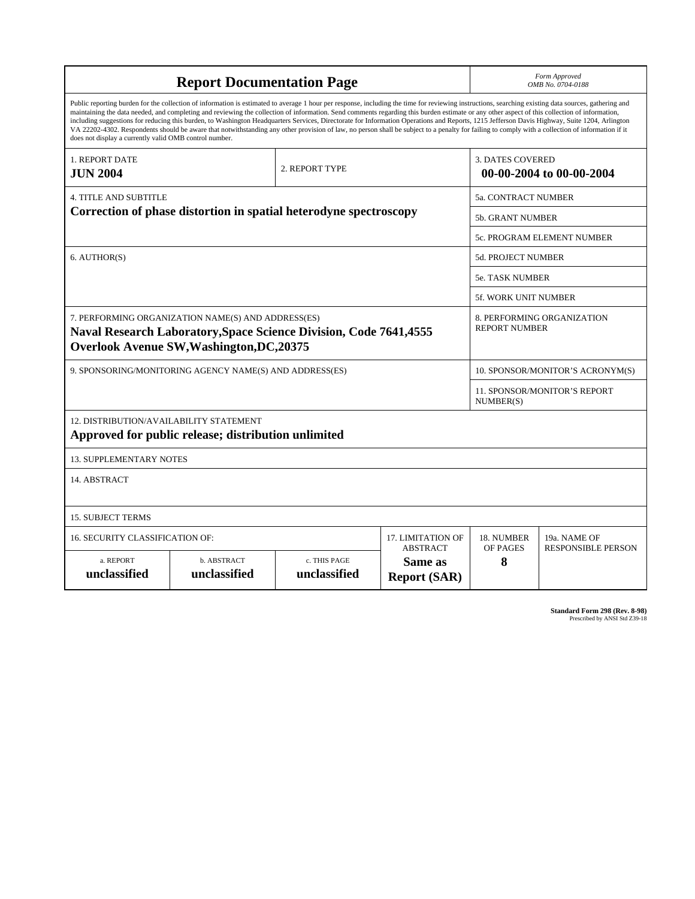| <b>Report Documentation Page</b>                                                                                                                                                                                                                                                                                                                                                                                                                                                                                                                                                                                                                                                                                                                                                                                                                                   |                             |                              |                                                   |                         | Form Approved<br>OMB No. 0704-0188                 |  |
|--------------------------------------------------------------------------------------------------------------------------------------------------------------------------------------------------------------------------------------------------------------------------------------------------------------------------------------------------------------------------------------------------------------------------------------------------------------------------------------------------------------------------------------------------------------------------------------------------------------------------------------------------------------------------------------------------------------------------------------------------------------------------------------------------------------------------------------------------------------------|-----------------------------|------------------------------|---------------------------------------------------|-------------------------|----------------------------------------------------|--|
| Public reporting burden for the collection of information is estimated to average 1 hour per response, including the time for reviewing instructions, searching existing data sources, gathering and<br>maintaining the data needed, and completing and reviewing the collection of information. Send comments regarding this burden estimate or any other aspect of this collection of information,<br>including suggestions for reducing this burden, to Washington Headquarters Services, Directorate for Information Operations and Reports, 1215 Jefferson Davis Highway, Suite 1204, Arlington<br>VA 22202-4302. Respondents should be aware that notwithstanding any other provision of law, no person shall be subject to a penalty for failing to comply with a collection of information if it<br>does not display a currently valid OMB control number. |                             |                              |                                                   |                         |                                                    |  |
| 1. REPORT DATE<br><b>JUN 2004</b>                                                                                                                                                                                                                                                                                                                                                                                                                                                                                                                                                                                                                                                                                                                                                                                                                                  |                             | 2. REPORT TYPE               |                                                   | <b>3. DATES COVERED</b> | 00-00-2004 to 00-00-2004                           |  |
| <b>4. TITLE AND SUBTITLE</b>                                                                                                                                                                                                                                                                                                                                                                                                                                                                                                                                                                                                                                                                                                                                                                                                                                       |                             |                              |                                                   |                         | 5a. CONTRACT NUMBER                                |  |
| Correction of phase distortion in spatial heterodyne spectroscopy                                                                                                                                                                                                                                                                                                                                                                                                                                                                                                                                                                                                                                                                                                                                                                                                  |                             |                              |                                                   |                         | 5b. GRANT NUMBER                                   |  |
|                                                                                                                                                                                                                                                                                                                                                                                                                                                                                                                                                                                                                                                                                                                                                                                                                                                                    |                             |                              |                                                   |                         | 5c. PROGRAM ELEMENT NUMBER                         |  |
| 6. AUTHOR(S)                                                                                                                                                                                                                                                                                                                                                                                                                                                                                                                                                                                                                                                                                                                                                                                                                                                       |                             |                              |                                                   | 5d. PROJECT NUMBER      |                                                    |  |
|                                                                                                                                                                                                                                                                                                                                                                                                                                                                                                                                                                                                                                                                                                                                                                                                                                                                    |                             |                              |                                                   |                         | <b>5e. TASK NUMBER</b>                             |  |
|                                                                                                                                                                                                                                                                                                                                                                                                                                                                                                                                                                                                                                                                                                                                                                                                                                                                    |                             |                              |                                                   |                         | 5f. WORK UNIT NUMBER                               |  |
| 7. PERFORMING ORGANIZATION NAME(S) AND ADDRESS(ES)<br><b>Naval Research Laboratory, Space Science Division, Code 7641, 4555</b><br><b>Overlook Avenue SW, Washington, DC, 20375</b>                                                                                                                                                                                                                                                                                                                                                                                                                                                                                                                                                                                                                                                                                |                             |                              |                                                   |                         | 8. PERFORMING ORGANIZATION<br><b>REPORT NUMBER</b> |  |
| 9. SPONSORING/MONITORING AGENCY NAME(S) AND ADDRESS(ES)                                                                                                                                                                                                                                                                                                                                                                                                                                                                                                                                                                                                                                                                                                                                                                                                            |                             |                              |                                                   |                         | 10. SPONSOR/MONITOR'S ACRONYM(S)                   |  |
|                                                                                                                                                                                                                                                                                                                                                                                                                                                                                                                                                                                                                                                                                                                                                                                                                                                                    |                             |                              |                                                   |                         | 11. SPONSOR/MONITOR'S REPORT<br>NUMBER(S)          |  |
| 12. DISTRIBUTION/AVAILABILITY STATEMENT<br>Approved for public release; distribution unlimited                                                                                                                                                                                                                                                                                                                                                                                                                                                                                                                                                                                                                                                                                                                                                                     |                             |                              |                                                   |                         |                                                    |  |
| <b>13. SUPPLEMENTARY NOTES</b>                                                                                                                                                                                                                                                                                                                                                                                                                                                                                                                                                                                                                                                                                                                                                                                                                                     |                             |                              |                                                   |                         |                                                    |  |
| 14. ABSTRACT                                                                                                                                                                                                                                                                                                                                                                                                                                                                                                                                                                                                                                                                                                                                                                                                                                                       |                             |                              |                                                   |                         |                                                    |  |
| <b>15. SUBJECT TERMS</b>                                                                                                                                                                                                                                                                                                                                                                                                                                                                                                                                                                                                                                                                                                                                                                                                                                           |                             |                              |                                                   |                         |                                                    |  |
| <b>16. SECURITY CLASSIFICATION OF:</b><br><b>17. LIMITATION OF</b>                                                                                                                                                                                                                                                                                                                                                                                                                                                                                                                                                                                                                                                                                                                                                                                                 |                             |                              |                                                   | 18. NUMBER              | 19a. NAME OF                                       |  |
| a. REPORT<br>unclassified                                                                                                                                                                                                                                                                                                                                                                                                                                                                                                                                                                                                                                                                                                                                                                                                                                          | b. ABSTRACT<br>unclassified | c. THIS PAGE<br>unclassified | <b>ABSTRACT</b><br>Same as<br><b>Report (SAR)</b> | OF PAGES<br>8           | <b>RESPONSIBLE PERSON</b>                          |  |

**Standard Form 298 (Rev. 8-98)**<br>Prescribed by ANSI Std Z39-18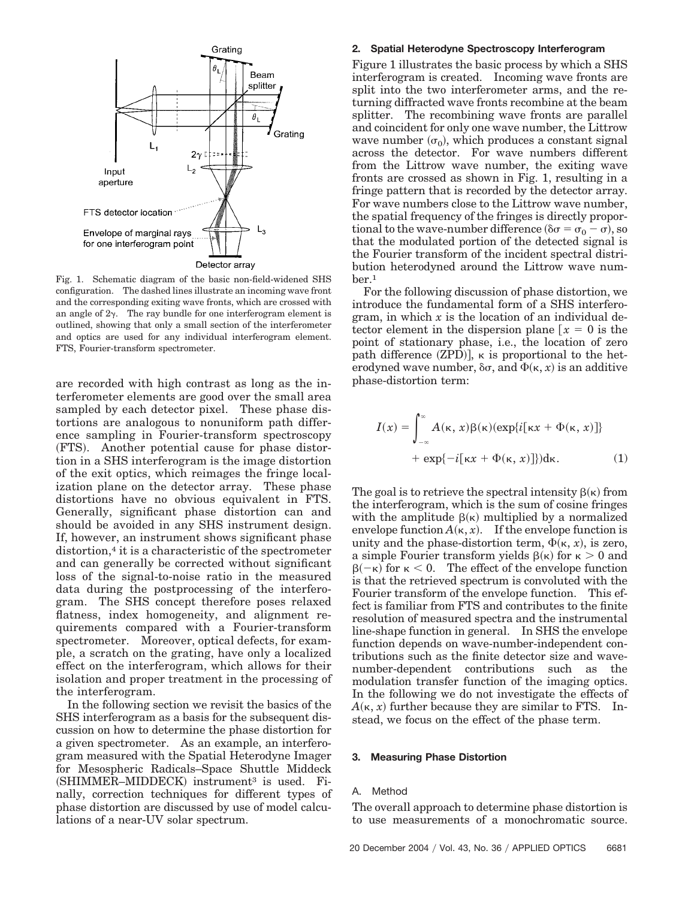

Fig. 1. Schematic diagram of the basic non-field-widened SHS configuration. The dashed lines illustrate an incoming wave front and the corresponding exiting wave fronts, which are crossed with an angle of  $2\gamma$ . The ray bundle for one interferogram element is outlined, showing that only a small section of the interferometer and optics are used for any individual interferogram element. FTS, Fourier-transform spectrometer.

are recorded with high contrast as long as the interferometer elements are good over the small area sampled by each detector pixel. These phase distortions are analogous to nonuniform path difference sampling in Fourier-transform spectroscopy (FTS). Another potential cause for phase distortion in a SHS interferogram is the image distortion of the exit optics, which reimages the fringe localization plane on the detector array. These phase distortions have no obvious equivalent in FTS. Generally, significant phase distortion can and should be avoided in any SHS instrument design. If, however, an instrument shows significant phase distortion,4 it is a characteristic of the spectrometer and can generally be corrected without significant loss of the signal-to-noise ratio in the measured data during the postprocessing of the interferogram. The SHS concept therefore poses relaxed flatness, index homogeneity, and alignment requirements compared with a Fourier-transform spectrometer. Moreover, optical defects, for example, a scratch on the grating, have only a localized effect on the interferogram, which allows for their isolation and proper treatment in the processing of the interferogram.

In the following section we revisit the basics of the SHS interferogram as a basis for the subsequent discussion on how to determine the phase distortion for a given spectrometer. As an example, an interferogram measured with the Spatial Heterodyne Imager for Mesospheric Radicals–Space Shuttle Middeck (SHIMMER-MIDDECK) instrument<sup>3</sup> is used. Finally, correction techniques for different types of phase distortion are discussed by use of model calculations of a near-UV solar spectrum.

### **2. Spatial Heterodyne Spectroscopy Interferogram**

Figure 1 illustrates the basic process by which a SHS interferogram is created. Incoming wave fronts are split into the two interferometer arms, and the returning diffracted wave fronts recombine at the beam splitter. The recombining wave fronts are parallel and coincident for only one wave number, the Littrow wave number  $(\sigma_0)$ , which produces a constant signal across the detector. For wave numbers different from the Littrow wave number, the exiting wave fronts are crossed as shown in Fig. 1, resulting in a fringe pattern that is recorded by the detector array. For wave numbers close to the Littrow wave number, the spatial frequency of the fringes is directly proportional to the wave-number difference ( $\delta \sigma = \sigma_0 - \sigma$ ), so that the modulated portion of the detected signal is the Fourier transform of the incident spectral distribution heterodyned around the Littrow wave number.1

For the following discussion of phase distortion, we introduce the fundamental form of a SHS interferogram, in which *x* is the location of an individual detector element in the dispersion plane  $x = 0$  is the point of stationary phase, i.e., the location of zero path difference  $(ZPD)$ ,  $\kappa$  is proportional to the heterodyned wave number,  $\delta\sigma$ , and  $\Phi(\kappa, x)$  is an additive phase-distortion term:

$$
I(x) = \int_{-\infty}^{\infty} A(\kappa, x) \beta(\kappa) (\exp\{i[\kappa x + \Phi(\kappa, x)]\} + \exp\{-i[\kappa x + \Phi(\kappa, x)]\}) d\kappa.
$$
 (1)

The goal is to retrieve the spectral intensity  $\beta(\kappa)$  from the interferogram, which is the sum of cosine fringes with the amplitude  $\beta(\kappa)$  multiplied by a normalized envelope function  $A(\kappa, x)$ . If the envelope function is unity and the phase-distortion term,  $\Phi(\kappa, x)$ , is zero, a simple Fourier transform yields  $\beta(\kappa)$  for  $\kappa > 0$  and  $\beta(-\kappa)$  for  $\kappa < 0$ . The effect of the envelope function is that the retrieved spectrum is convoluted with the Fourier transform of the envelope function. This effect is familiar from FTS and contributes to the finite resolution of measured spectra and the instrumental line-shape function in general. In SHS the envelope function depends on wave-number-independent contributions such as the finite detector size and wavenumber-dependent contributions such as the modulation transfer function of the imaging optics. In the following we do not investigate the effects of  $A(\kappa, x)$  further because they are similar to FTS. Instead, we focus on the effect of the phase term.

#### **3. Measuring Phase Distortion**

### A. Method

The overall approach to determine phase distortion is to use measurements of a monochromatic source.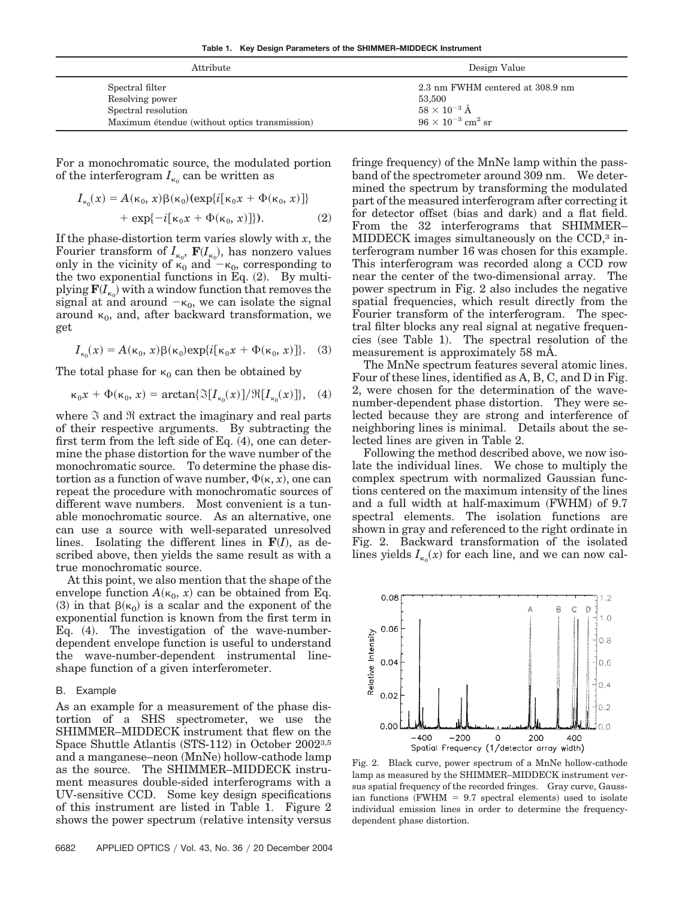**Table 1. Key Design Parameters of the SHIMMER–MIDDECK Instrument**

| Attribute                                     | Design Value                           |  |  |
|-----------------------------------------------|----------------------------------------|--|--|
| Spectral filter                               | 2.3 nm FWHM centered at 308.9 nm       |  |  |
| Resolving power                               | 53,500                                 |  |  |
| Spectral resolution                           | $58 \times 10^{-3}$ Å                  |  |  |
| Maximum étendue (without optics transmission) | $96 \times 10^{-3}$ cm <sup>2</sup> sr |  |  |

For a monochromatic source, the modulated portion of the interferogram  $I_{\kappa_0}$  can be written as

$$
I_{\kappa_0}(x) = A(\kappa_0, x)\beta(\kappa_0)(\exp\{i[\kappa_0 x + \Phi(\kappa_0, x)]\}
$$
  
+ 
$$
\exp\{-i[\kappa_0 x + \Phi(\kappa_0, x)]\}.
$$
 (2)

If the phase-distortion term varies slowly with *x*, the Fourier transform of  $I_{\kappa_0}$ ,  $\mathbf{F}(I_{\kappa_0})$ , has nonzero values only in the vicinity of  $\kappa_0$  and  $-\kappa_0$ , corresponding to the two exponential functions in Eq.  $(2)$ . By multi- $\operatorname{plying} \mathbf{F}(I_{\kappa_0})$  with a window function that removes the signal at and around  $-\kappa_0$ , we can isolate the signal around  $\kappa_0$ , and, after backward transformation, we get

$$
I_{\kappa_0}(x) = A(\kappa_0, x)\beta(\kappa_0) \exp\{i[\kappa_0 x + \Phi(\kappa_0, x)]\}.
$$
 (3)

The total phase for  $\kappa_0$  can then be obtained by

$$
\kappa_0 x + \Phi(\kappa_0, x) = \arctan\{\Im[I_{\kappa_0}(x)]/\Re[I_{\kappa_0}(x)]\}, \quad (4)
$$

where  $\Im$  and  $\Re$  extract the imaginary and real parts of their respective arguments. By subtracting the first term from the left side of Eq.  $(4)$ , one can determine the phase distortion for the wave number of the monochromatic source. To determine the phase distortion as a function of wave number,  $\Phi(\kappa, x)$ , one can repeat the procedure with monochromatic sources of different wave numbers. Most convenient is a tunable monochromatic source. As an alternative, one can use a source with well-separated unresolved lines. Isolating the different lines in  $F(I)$ , as described above, then yields the same result as with a true monochromatic source.

At this point, we also mention that the shape of the envelope function  $A(\kappa_0, x)$  can be obtained from Eq. (3) in that  $\beta(\kappa_0)$  is a scalar and the exponent of the exponential function is known from the first term in Eq. (4). The investigation of the wave-numberdependent envelope function is useful to understand the wave-number-dependent instrumental lineshape function of a given interferometer.

### B. Example

As an example for a measurement of the phase distortion of a SHS spectrometer, we use the SHIMMER–MIDDECK instrument that flew on the Space Shuttle Atlantis (STS-112) in October 2002<sup>3,5</sup> and a manganese-neon (MnNe) hollow-cathode lamp as the source. The SHIMMER–MIDDECK instrument measures double-sided interferograms with a UV-sensitive CCD. Some key design specifications of this instrument are listed in Table 1. Figure 2 shows the power spectrum (relative intensity versus

6682 APPLIED OPTICS Vol. 43, No. 36 20 December 2004

fringe frequency) of the MnNe lamp within the passband of the spectrometer around 309 nm. We determined the spectrum by transforming the modulated part of the measured interferogram after correcting it for detector offset (bias and dark) and a flat field. From the 32 interferograms that SHIMMER– MIDDECK images simultaneously on the CCD,3 interferogram number 16 was chosen for this example. This interferogram was recorded along a CCD row near the center of the two-dimensional array. The power spectrum in Fig. 2 also includes the negative spatial frequencies, which result directly from the Fourier transform of the interferogram. The spectral filter blocks any real signal at negative frequencies (see Table 1). The spectral resolution of the measurement is approximately 58 mÅ.

The MnNe spectrum features several atomic lines. Four of these lines, identified as A, B, C, and D in Fig. 2, were chosen for the determination of the wavenumber-dependent phase distortion. They were selected because they are strong and interference of neighboring lines is minimal. Details about the selected lines are given in Table 2.

Following the method described above, we now isolate the individual lines. We chose to multiply the complex spectrum with normalized Gaussian functions centered on the maximum intensity of the lines and a full width at half-maximum (FWHM) of 9.7 spectral elements. The isolation functions are shown in gray and referenced to the right ordinate in Fig. 2. Backward transformation of the isolated lines yields  $I_{\kappa_0}(x)$  for each line, and we can now cal-



Fig. 2. Black curve, power spectrum of a MnNe hollow-cathode lamp as measured by the SHIMMER–MIDDECK instrument versus spatial frequency of the recorded fringes. Gray curve, Gaussian functions (FWHM  $= 9.7$  spectral elements) used to isolate individual emission lines in order to determine the frequencydependent phase distortion.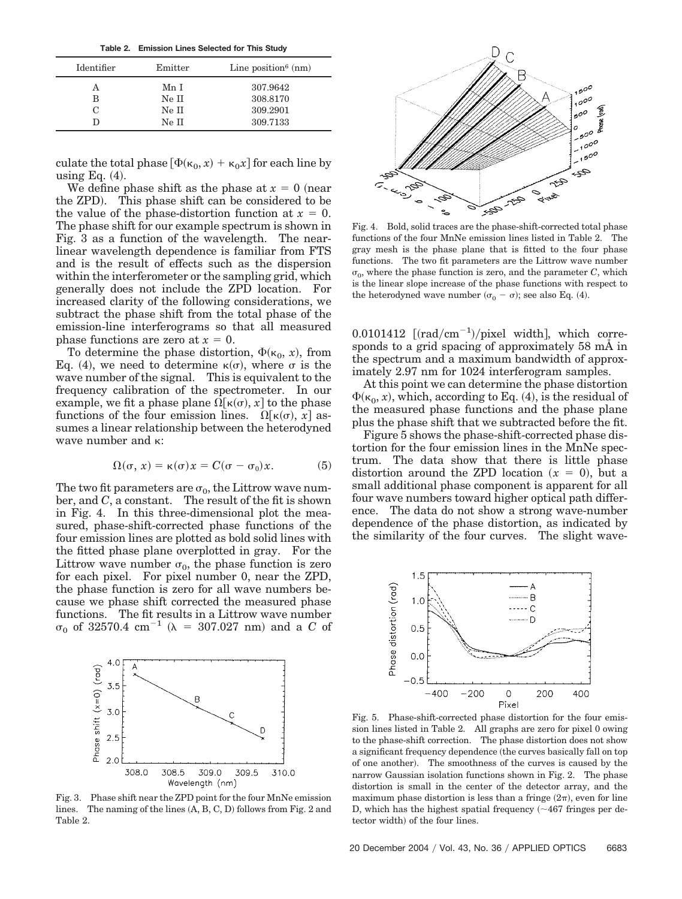**Table 2. Emission Lines Selected for This Study**

| Identifier | Emitter | Line position <sup>6</sup> $(nm)$ |
|------------|---------|-----------------------------------|
|            | Mn I    | 307.9642                          |
| в          | Ne II   | 308.8170                          |
|            | Ne II   | 309.2901                          |
|            | Ne II   | 309.7133                          |

culate the total phase  $[\Phi(\kappa_0, x) + \kappa_0 x]$  for each line by using Eq.  $(4)$ .

We define phase shift as the phase at  $x = 0$  (near the ZPD). This phase shift can be considered to be the value of the phase-distortion function at  $x = 0$ . The phase shift for our example spectrum is shown in Fig. 3 as a function of the wavelength. The nearlinear wavelength dependence is familiar from FTS and is the result of effects such as the dispersion within the interferometer or the sampling grid, which generally does not include the ZPD location. For increased clarity of the following considerations, we subtract the phase shift from the total phase of the emission-line interferograms so that all measured phase functions are zero at  $x = 0$ .

To determine the phase distortion,  $\Phi(\kappa_0, x)$ , from Eq. (4), we need to determine  $\kappa(\sigma)$ , where  $\sigma$  is the wave number of the signal. This is equivalent to the frequency calibration of the spectrometer. In our example, we fit a phase plane  $\Omega[\kappa(\sigma), x]$  to the phase functions of the four emission lines.  $\Omega[\kappa(\sigma), x]$  assumes a linear relationship between the heterodyned wave number and  $\kappa$ :

$$
\Omega(\sigma, x) = \kappa(\sigma)x = C(\sigma - \sigma_0)x.
$$
 (5)

The two fit parameters are  $\sigma_0$ , the Littrow wave number, and *C*, a constant. The result of the fit is shown in Fig. 4. In this three-dimensional plot the measured, phase-shift-corrected phase functions of the four emission lines are plotted as bold solid lines with the fitted phase plane overplotted in gray. For the Littrow wave number  $\sigma_0$ , the phase function is zero for each pixel. For pixel number 0, near the ZPD, the phase function is zero for all wave numbers because we phase shift corrected the measured phase functions. The fit results in a Littrow wave number  $\sigma_0$  of 32570.4 cm<sup>-1</sup> ( $\lambda$  = 307.027 nm) and a *C* of



Fig. 3. Phase shift near the ZPD point for the four MnNe emission lines. The naming of the lines  $(A, B, C, D)$  follows from Fig. 2 and Table 2.



Fig. 4. Bold, solid traces are the phase-shift-corrected total phase functions of the four MnNe emission lines listed in Table 2. The gray mesh is the phase plane that is fitted to the four phase functions. The two fit parameters are the Littrow wave number  $\sigma_0$ , where the phase function is zero, and the parameter *C*, which is the linear slope increase of the phase functions with respect to the heterodyned wave number  $(\sigma_0 - \sigma)$ ; see also Eq. (4).

0.0101412  $[(rad/cm^{-1})/pixel$  width], which corresponds to a grid spacing of approximately 58 mÅ in the spectrum and a maximum bandwidth of approximately 2.97 nm for 1024 interferogram samples.

At this point we can determine the phase distortion  $\Phi(\kappa_0, x)$ , which, according to Eq. (4), is the residual of the measured phase functions and the phase plane plus the phase shift that we subtracted before the fit.

Figure 5 shows the phase-shift-corrected phase distortion for the four emission lines in the MnNe spectrum. The data show that there is little phase distortion around the ZPD location  $(x = 0)$ , but a small additional phase component is apparent for all four wave numbers toward higher optical path difference. The data do not show a strong wave-number dependence of the phase distortion, as indicated by the similarity of the four curves. The slight wave-



Fig. 5. Phase-shift-corrected phase distortion for the four emission lines listed in Table 2. All graphs are zero for pixel 0 owing to the phase-shift correction. The phase distortion does not show a significant frequency dependence the curves basically fall on top of one another). The smoothness of the curves is caused by the narrow Gaussian isolation functions shown in Fig. 2. The phase distortion is small in the center of the detector array, and the maximum phase distortion is less than a fringe  $(2\pi)$ , even for line D, which has the highest spatial frequency  $(\sim 467$  fringes per detector width) of the four lines.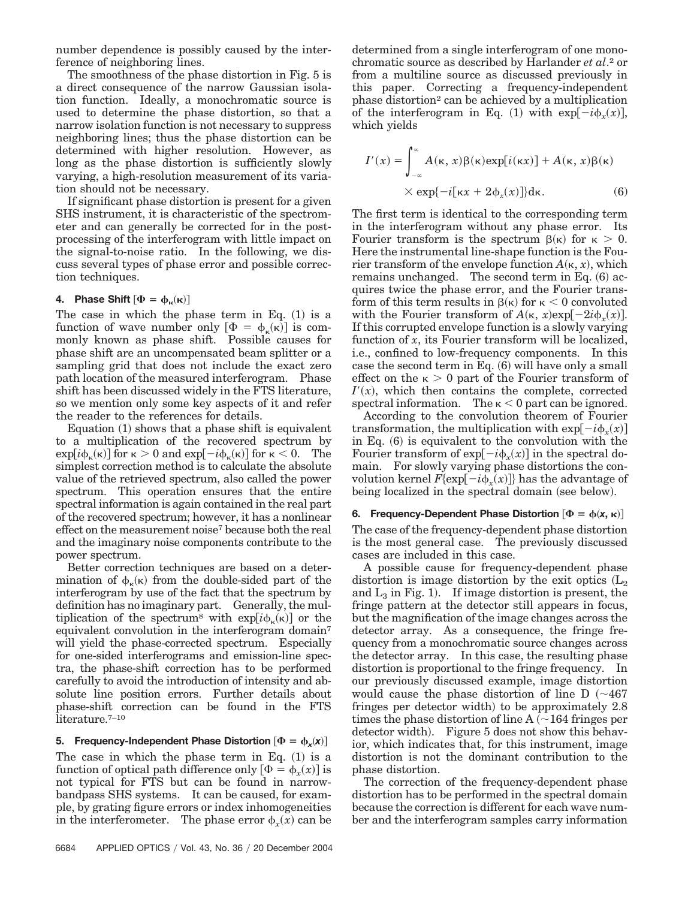number dependence is possibly caused by the interference of neighboring lines.

The smoothness of the phase distortion in Fig. 5 is a direct consequence of the narrow Gaussian isolation function. Ideally, a monochromatic source is used to determine the phase distortion, so that a narrow isolation function is not necessary to suppress neighboring lines; thus the phase distortion can be determined with higher resolution. However, as long as the phase distortion is sufficiently slowly varying, a high-resolution measurement of its variation should not be necessary.

If significant phase distortion is present for a given SHS instrument, it is characteristic of the spectrometer and can generally be corrected for in the postprocessing of the interferogram with little impact on the signal-to-noise ratio. In the following, we discuss several types of phase error and possible correction techniques.

# **4.** Phase Shift  $[\Phi = \phi_{\kappa}(\kappa)]$

The case in which the phase term in Eq.  $(1)$  is a function of wave number only  $[\Phi = \phi_{\kappa}(\kappa)]$  is commonly known as phase shift. Possible causes for phase shift are an uncompensated beam splitter or a sampling grid that does not include the exact zero path location of the measured interferogram. Phase shift has been discussed widely in the FTS literature, so we mention only some key aspects of it and refer the reader to the references for details.

Equation (1) shows that a phase shift is equivalent to a multiplication of the recovered spectrum by  $\exp[i\phi_{\kappa}(\kappa)]$  for  $\kappa > 0$  and  $\exp[-i\phi_{\kappa}(\kappa)]$  for  $\kappa < 0$ . The simplest correction method is to calculate the absolute value of the retrieved spectrum, also called the power spectrum. This operation ensures that the entire spectral information is again contained in the real part of the recovered spectrum; however, it has a nonlinear effect on the measurement noise7 because both the real and the imaginary noise components contribute to the power spectrum.

Better correction techniques are based on a determination of  $\phi_{\kappa}(\kappa)$  from the double-sided part of the interferogram by use of the fact that the spectrum by definition has no imaginary part. Generally, the multiplication of the spectrum<sup>8</sup> with  $\exp[i\phi_{\kappa}(\kappa)]$  or the equivalent convolution in the interferogram domain7 will yield the phase-corrected spectrum. Especially for one-sided interferograms and emission-line spectra, the phase-shift correction has to be performed carefully to avoid the introduction of intensity and absolute line position errors. Further details about phase-shift correction can be found in the FTS literature.7–10

5. Frequency-Independent Phase Distortion  $[\Phi = \phi_x(x)]$ The case in which the phase term in Eq.  $(1)$  is a function of optical path difference only  $[\Phi = \phi_x(x)]$  is not typical for FTS but can be found in narrowbandpass SHS systems. It can be caused, for example, by grating figure errors or index inhomogeneities in the interferometer. The phase error  $\phi_x(x)$  can be

determined from a single interferogram of one monochromatic source as described by Harlander *et al*.2 or from a multiline source as discussed previously in this paper. Correcting a frequency-independent phase distortion2 can be achieved by a multiplication of the interferogram in Eq. (1) with  $\exp[-i\phi_x(x)]$ , which yields

$$
I'(x) = \int_{-\infty}^{\infty} A(\kappa, x) \beta(\kappa) \exp[i(\kappa x)] + A(\kappa, x) \beta(\kappa)
$$
  
× exp{-*i*[ $\kappa x + 2\phi_x(x)$ ]}d $\kappa$ . (6)

The first term is identical to the corresponding term in the interferogram without any phase error. Its Fourier transform is the spectrum  $\beta(\kappa)$  for  $\kappa > 0$ . Here the instrumental line-shape function is the Fourier transform of the envelope function  $A(\kappa, x)$ , which remains unchanged. The second term in Eq.  $(6)$  acquires twice the phase error, and the Fourier transform of this term results in  $\beta(\kappa)$  for  $\kappa < 0$  convoluted with the Fourier transform of  $A(\kappa, x) \exp[-2i\phi_x(x)]$ . If this corrupted envelope function is a slowly varying function of  $\overline{x}$ , its Fourier transform will be localized, i.e., confined to low-frequency components. In this case the second term in Eq. (6) will have only a small effect on the  $\kappa > 0$  part of the Fourier transform of  $I'(x)$ , which then contains the complete, corrected spectral information. The  $\kappa$  < 0 part can be ignored.

According to the convolution theorem of Fourier transformation, the multiplication with  $\exp[-i\phi_x(x)]$ in Eq. (6) is equivalent to the convolution with the Fourier transform of  $\exp[-i\phi_x(x)]$  in the spectral domain. For slowly varying phase distortions the convolution kernel  $F{\exp[-i\phi_x(x)]}$  has the advantage of being localized in the spectral domain (see below).

## **6.** Frequency-Dependent Phase Distortion  $[\Phi = \phi(\mathbf{x}, \mathbf{\kappa})]$ The case of the frequency-dependent phase distortion is the most general case. The previously discussed cases are included in this case.

A possible cause for frequency-dependent phase distortion is image distortion by the exit optics  $(L_2)$ and  $L_3$  in Fig. 1). If image distortion is present, the fringe pattern at the detector still appears in focus, but the magnification of the image changes across the detector array. As a consequence, the fringe frequency from a monochromatic source changes across the detector array. In this case, the resulting phase distortion is proportional to the fringe frequency. In our previously discussed example, image distortion would cause the phase distortion of line  $D$  ( $\sim$ 467 fringes per detector width) to be approximately 2.8 times the phase distortion of line  $A \sim 164$  fringes per detector width). Figure 5 does not show this behavior, which indicates that, for this instrument, image distortion is not the dominant contribution to the phase distortion.

The correction of the frequency-dependent phase distortion has to be performed in the spectral domain because the correction is different for each wave number and the interferogram samples carry information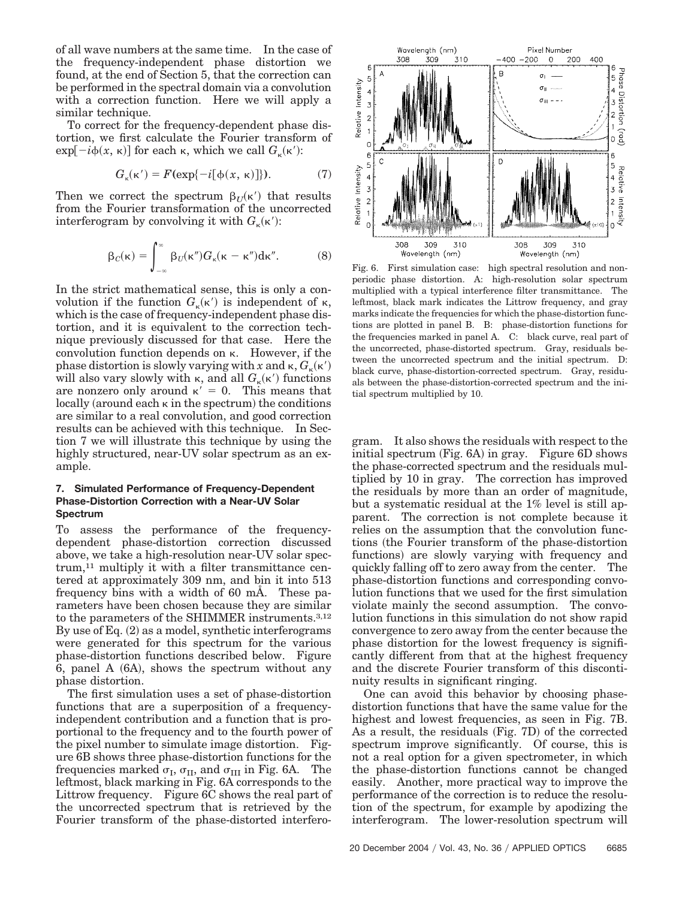of all wave numbers at the same time. In the case of the frequency-independent phase distortion we found, at the end of Section 5, that the correction can be performed in the spectral domain via a convolution with a correction function. Here we will apply a similar technique.

To correct for the frequency-dependent phase distortion, we first calculate the Fourier transform of  $\exp[-i\phi(x, \kappa)]$  for each  $\kappa$ , which we call  $G_{\kappa}(\kappa')$ :

$$
G_{\kappa}(\kappa') = F(\exp\{-i[\phi(x, \kappa)]\}).\tag{7}
$$

Then we correct the spectrum  $\beta_U(\kappa')$  that results from the Fourier transformation of the uncorrected interferogram by convolving it with  $G_{\kappa}(\kappa')$ :

$$
\beta_C(\kappa) = \int_{-\infty}^{\infty} \beta_U(\kappa'') G_{\kappa}(\kappa - \kappa'') d\kappa''.
$$
 (8)

In the strict mathematical sense, this is only a convolution if the function  $G_{\kappa}(\kappa')$  is independent of  $\kappa$ , which is the case of frequency-independent phase distortion, and it is equivalent to the correction technique previously discussed for that case. Here the convolution function depends on  $\kappa$ . However, if the phase distortion is slowly varying with *x* and  $\kappa$ ,  $G_{\kappa}(\kappa')$ will also vary slowly with  $\kappa$ , and all  $G_{\kappa}(\kappa')$  functions are nonzero only around  $\kappa' = 0$ . This means that  $locally$  (around each  $\kappa$  in the spectrum) the conditions are similar to a real convolution, and good correction results can be achieved with this technique. In Section 7 we will illustrate this technique by using the highly structured, near-UV solar spectrum as an example.

### **7. Simulated Performance of Frequency-Dependent Phase-Distortion Correction with a Near-UV Solar Spectrum**

To assess the performance of the frequencydependent phase-distortion correction discussed above, we take a high-resolution near-UV solar spectrum,11 multiply it with a filter transmittance centered at approximately 309 nm, and bin it into 513 frequency bins with a width of 60 mÅ. These parameters have been chosen because they are similar to the parameters of the SHIMMER instruments.3,12 By use of Eq. (2) as a model, synthetic interferograms were generated for this spectrum for the various phase-distortion functions described below. Figure 6, panel A (6A), shows the spectrum without any phase distortion.

The first simulation uses a set of phase-distortion functions that are a superposition of a frequencyindependent contribution and a function that is proportional to the frequency and to the fourth power of the pixel number to simulate image distortion. Figure 6B shows three phase-distortion functions for the frequencies marked  $\sigma_{\text{I}}$ ,  $\sigma_{\text{II}}$ , and  $\sigma_{\text{III}}$  in Fig. 6A. The leftmost, black marking in Fig. 6A corresponds to the Littrow frequency. Figure 6C shows the real part of the uncorrected spectrum that is retrieved by the Fourier transform of the phase-distorted interfero-



Fig. 6. First simulation case: high spectral resolution and nonperiodic phase distortion. A: high-resolution solar spectrum multiplied with a typical interference filter transmittance. The leftmost, black mark indicates the Littrow frequency, and gray marks indicate the frequencies for which the phase-distortion functions are plotted in panel B. B: phase-distortion functions for the frequencies marked in panel A. C: black curve, real part of the uncorrected, phase-distorted spectrum. Gray, residuals between the uncorrected spectrum and the initial spectrum. D: black curve, phase-distortion-corrected spectrum. Gray, residuals between the phase-distortion-corrected spectrum and the initial spectrum multiplied by 10.

gram. It also shows the residuals with respect to the initial spectrum (Fig. 6A) in gray. Figure 6D shows the phase-corrected spectrum and the residuals multiplied by 10 in gray. The correction has improved the residuals by more than an order of magnitude, but a systematic residual at the 1% level is still apparent. The correction is not complete because it relies on the assumption that the convolution functions the Fourier transform of the phase-distortion functions) are slowly varying with frequency and quickly falling off to zero away from the center. The phase-distortion functions and corresponding convolution functions that we used for the first simulation violate mainly the second assumption. The convolution functions in this simulation do not show rapid convergence to zero away from the center because the phase distortion for the lowest frequency is significantly different from that at the highest frequency and the discrete Fourier transform of this discontinuity results in significant ringing.

One can avoid this behavior by choosing phasedistortion functions that have the same value for the highest and lowest frequencies, as seen in Fig. 7B. As a result, the residuals (Fig. 7D) of the corrected spectrum improve significantly. Of course, this is not a real option for a given spectrometer, in which the phase-distortion functions cannot be changed easily. Another, more practical way to improve the performance of the correction is to reduce the resolution of the spectrum, for example by apodizing the interferogram. The lower-resolution spectrum will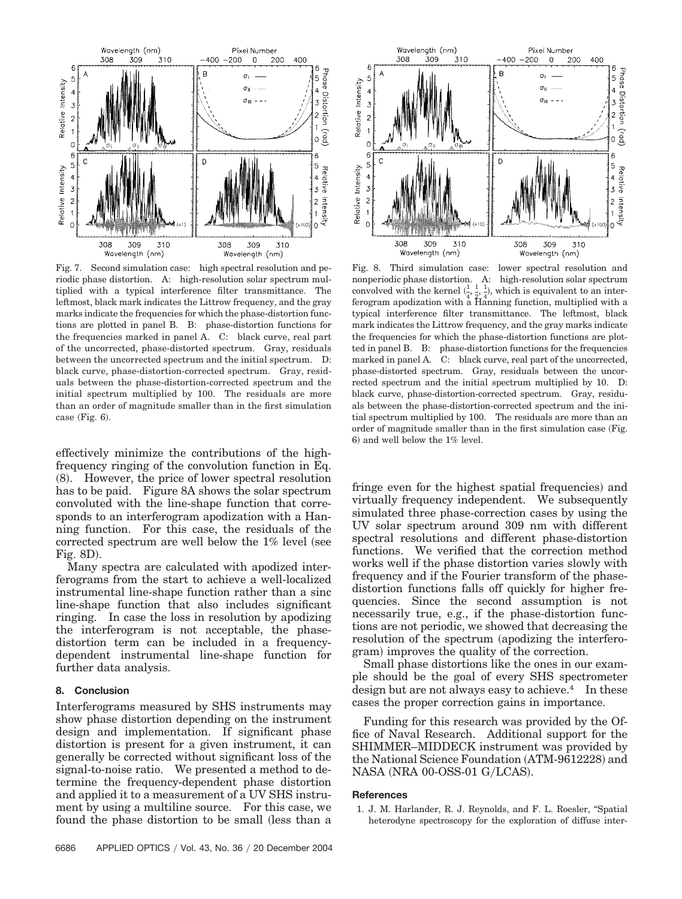

Fig. 7. Second simulation case: high spectral resolution and periodic phase distortion. A: high-resolution solar spectrum multiplied with a typical interference filter transmittance. The leftmost, black mark indicates the Littrow frequency, and the gray marks indicate the frequencies for which the phase-distortion functions are plotted in panel B. B: phase-distortion functions for the frequencies marked in panel A. C: black curve, real part of the uncorrected, phase-distorted spectrum. Gray, residuals between the uncorrected spectrum and the initial spectrum. D: black curve, phase-distortion-corrected spectrum. Gray, residuals between the phase-distortion-corrected spectrum and the initial spectrum multiplied by 100. The residuals are more than an order of magnitude smaller than in the first simulation case  $(Fig. 6)$ .

effectively minimize the contributions of the highfrequency ringing of the convolution function in Eq. (8). However, the price of lower spectral resolution has to be paid. Figure 8A shows the solar spectrum convoluted with the line-shape function that corresponds to an interferogram apodization with a Hanning function. For this case, the residuals of the corrected spectrum are well below the  $1\%$  level (see Fig. 8D).

Many spectra are calculated with apodized interferograms from the start to achieve a well-localized instrumental line-shape function rather than a sinc line-shape function that also includes significant ringing. In case the loss in resolution by apodizing the interferogram is not acceptable, the phasedistortion term can be included in a frequencydependent instrumental line-shape function for further data analysis.

### **8. Conclusion**

Interferograms measured by SHS instruments may show phase distortion depending on the instrument design and implementation. If significant phase distortion is present for a given instrument, it can generally be corrected without significant loss of the signal-to-noise ratio. We presented a method to determine the frequency-dependent phase distortion and applied it to a measurement of a UV SHS instrument by using a multiline source. For this case, we found the phase distortion to be small (less than a



Fig. 8. Third simulation case: lower spectral resolution and nonperiodic phase distortion. A: high-resolution solar spectrum convolved with the kernel  $(\frac{1}{4})$  $\frac{1}{4}$ ,  $\frac{1}{2}$ ,  $\frac{1}{4}$ ), which is equivalent to an interferogram apodization with a Hanning function, multiplied with a typical interference filter transmittance. The leftmost, black mark indicates the Littrow frequency, and the gray marks indicate the frequencies for which the phase-distortion functions are plotted in panel B. B: phase-distortion functions for the frequencies marked in panel A. C: black curve, real part of the uncorrected, phase-distorted spectrum. Gray, residuals between the uncorrected spectrum and the initial spectrum multiplied by 10. D: black curve, phase-distortion-corrected spectrum. Gray, residuals between the phase-distortion-corrected spectrum and the initial spectrum multiplied by 100. The residuals are more than an order of magnitude smaller than in the first simulation case Fig. 6) and well below the 1% level.

fringe even for the highest spatial frequencies) and virtually frequency independent. We subsequently simulated three phase-correction cases by using the UV solar spectrum around 309 nm with different spectral resolutions and different phase-distortion functions. We verified that the correction method works well if the phase distortion varies slowly with frequency and if the Fourier transform of the phasedistortion functions falls off quickly for higher frequencies. Since the second assumption is not necessarily true, e.g., if the phase-distortion functions are not periodic, we showed that decreasing the resolution of the spectrum (apodizing the interferogram) improves the quality of the correction.

Small phase distortions like the ones in our example should be the goal of every SHS spectrometer design but are not always easy to achieve.<sup>4</sup> In these cases the proper correction gains in importance.

Funding for this research was provided by the Office of Naval Research. Additional support for the SHIMMER–MIDDECK instrument was provided by the National Science Foundation (ATM-9612228) and NASA (NRA 00-OSS-01 G/LCAS).

### **References**

1. J. M. Harlander, R. J. Reynolds, and F. L. Roesler, "Spatial heterodyne spectroscopy for the exploration of diffuse inter